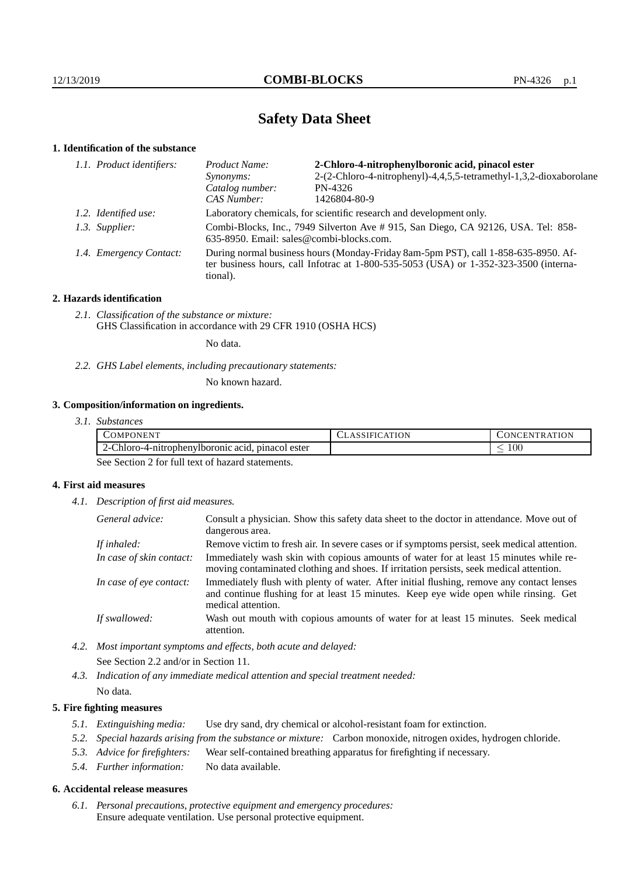# **Safety Data Sheet**

#### **1. Identification of the substance**

| Product Name:                                                                                                                                                                           | 2-Chloro-4-nitrophenylboronic acid, pinacol ester                  |  |  |
|-----------------------------------------------------------------------------------------------------------------------------------------------------------------------------------------|--------------------------------------------------------------------|--|--|
| <i>Synonyms:</i>                                                                                                                                                                        | 2-(2-Chloro-4-nitrophenyl)-4,4,5,5-tetramethyl-1,3,2-dioxaborolane |  |  |
| Catalog number:                                                                                                                                                                         | PN-4326                                                            |  |  |
| CAS Number:                                                                                                                                                                             | 1426804-80-9                                                       |  |  |
| Laboratory chemicals, for scientific research and development only.                                                                                                                     |                                                                    |  |  |
| Combi-Blocks, Inc., 7949 Silverton Ave # 915, San Diego, CA 92126, USA. Tel: 858-<br>635-8950. Email: sales@combi-blocks.com.                                                           |                                                                    |  |  |
| During normal business hours (Monday-Friday 8am-5pm PST), call 1-858-635-8950. Af-<br>ter business hours, call Infotrac at 1-800-535-5053 (USA) or 1-352-323-3500 (interna-<br>tional). |                                                                    |  |  |
| 1.1. Product identifiers:<br>1.2. Identified use:<br>1.3. Supplier:<br>1.4. Emergency Contact:                                                                                          |                                                                    |  |  |

#### **2. Hazards identification**

*2.1. Classification of the substance or mixture:* GHS Classification in accordance with 29 CFR 1910 (OSHA HCS)

No data.

*2.2. GHS Label elements, including precautionary statements:*

No known hazard.

### **3. Composition/information on ingredients.**

| 3.1. Substances |  |
|-----------------|--|
|                 |  |

| COMPONENT                                                        | ATION<br>ANNIFIC | TR ATION<br>')NU<br>:EN' |
|------------------------------------------------------------------|------------------|--------------------------|
| -Chloro-4-nitrophenylboronic acid,<br>. pinacol ester<br>$2 - 1$ |                  | 100                      |

See Section 2 for full text of hazard statements.

#### **4. First aid measures**

*4.1. Description of first aid measures.*

| General advice:          | Consult a physician. Show this safety data sheet to the doctor in attendance. Move out of<br>dangerous area.                                                                                            |
|--------------------------|---------------------------------------------------------------------------------------------------------------------------------------------------------------------------------------------------------|
| If inhaled:              | Remove victim to fresh air. In severe cases or if symptoms persist, seek medical attention.                                                                                                             |
| In case of skin contact: | Immediately wash skin with copious amounts of water for at least 15 minutes while re-<br>moving contaminated clothing and shoes. If irritation persists, seek medical attention.                        |
| In case of eye contact:  | Immediately flush with plenty of water. After initial flushing, remove any contact lenses<br>and continue flushing for at least 15 minutes. Keep eye wide open while rinsing. Get<br>medical attention. |
| If swallowed:            | Wash out mouth with copious amounts of water for at least 15 minutes. Seek medical<br>attention.                                                                                                        |

*4.2. Most important symptoms and effects, both acute and delayed:* See Section 2.2 and/or in Section 11.

*4.3. Indication of any immediate medical attention and special treatment needed:* No data.

#### **5. Fire fighting measures**

- *5.1. Extinguishing media:* Use dry sand, dry chemical or alcohol-resistant foam for extinction.
- *5.2. Special hazards arising from the substance or mixture:* Carbon monoxide, nitrogen oxides, hydrogen chloride.
- *5.3. Advice for firefighters:* Wear self-contained breathing apparatus for firefighting if necessary.
- *5.4. Further information:* No data available.

#### **6. Accidental release measures**

*6.1. Personal precautions, protective equipment and emergency procedures:* Ensure adequate ventilation. Use personal protective equipment.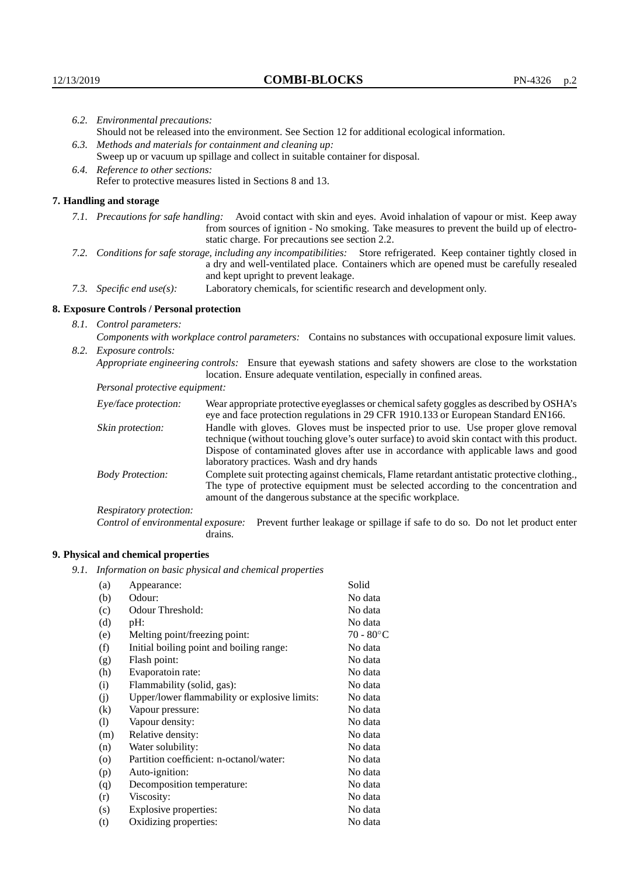|                                | 6.2. Environmental precautions:                                                                                                                                                                                                                            |                                                                                                                                                                                                                                                                    |  |  |
|--------------------------------|------------------------------------------------------------------------------------------------------------------------------------------------------------------------------------------------------------------------------------------------------------|--------------------------------------------------------------------------------------------------------------------------------------------------------------------------------------------------------------------------------------------------------------------|--|--|
|                                | Should not be released into the environment. See Section 12 for additional ecological information.                                                                                                                                                         |                                                                                                                                                                                                                                                                    |  |  |
|                                | 6.3. Methods and materials for containment and cleaning up:                                                                                                                                                                                                |                                                                                                                                                                                                                                                                    |  |  |
|                                | Sweep up or vacuum up spillage and collect in suitable container for disposal.                                                                                                                                                                             |                                                                                                                                                                                                                                                                    |  |  |
|                                | 6.4. Reference to other sections:                                                                                                                                                                                                                          |                                                                                                                                                                                                                                                                    |  |  |
|                                | Refer to protective measures listed in Sections 8 and 13.                                                                                                                                                                                                  |                                                                                                                                                                                                                                                                    |  |  |
|                                | 7. Handling and storage                                                                                                                                                                                                                                    |                                                                                                                                                                                                                                                                    |  |  |
|                                |                                                                                                                                                                                                                                                            | 7.1. Precautions for safe handling: Avoid contact with skin and eyes. Avoid inhalation of vapour or mist. Keep away<br>from sources of ignition - No smoking. Take measures to prevent the build up of electro-<br>static charge. For precautions see section 2.2. |  |  |
|                                | 7.2. Conditions for safe storage, including any incompatibilities: Store refrigerated. Keep container tightly closed in<br>a dry and well-ventilated place. Containers which are opened must be carefully resealed<br>and kept upright to prevent leakage. |                                                                                                                                                                                                                                                                    |  |  |
|                                | 7.3. Specific end use(s):                                                                                                                                                                                                                                  | Laboratory chemicals, for scientific research and development only.                                                                                                                                                                                                |  |  |
|                                | 8. Exposure Controls / Personal protection                                                                                                                                                                                                                 |                                                                                                                                                                                                                                                                    |  |  |
|                                | 8.1. Control parameters:                                                                                                                                                                                                                                   |                                                                                                                                                                                                                                                                    |  |  |
|                                | Components with workplace control parameters: Contains no substances with occupational exposure limit values.                                                                                                                                              |                                                                                                                                                                                                                                                                    |  |  |
|                                | 8.2. Exposure controls:                                                                                                                                                                                                                                    |                                                                                                                                                                                                                                                                    |  |  |
|                                |                                                                                                                                                                                                                                                            | Appropriate engineering controls: Ensure that eyewash stations and safety showers are close to the workstation<br>location. Ensure adequate ventilation, especially in confined areas.                                                                             |  |  |
| Personal protective equipment: |                                                                                                                                                                                                                                                            |                                                                                                                                                                                                                                                                    |  |  |
|                                | Eye/face protection:                                                                                                                                                                                                                                       | Wear appropriate protective eyeglasses or chemical safety goggles as described by OSHA's<br>eye and face protection regulations in 29 CFR 1910.133 or European Standard EN166.                                                                                     |  |  |
|                                | Skin protection:                                                                                                                                                                                                                                           | Handle with gloves. Gloves must be inspected prior to use. Use proper glove removal<br>technique (without touching glove's outer surface) to avoid skin contact with this product.                                                                                 |  |  |

| Eye/face protection:               | Wear appropriate protective eyeglasses or chemical safety goggles as described by OSHA's<br>eye and face protection regulations in 29 CFR 1910.133 or European Standard EN166.                                                                                                                                         |
|------------------------------------|------------------------------------------------------------------------------------------------------------------------------------------------------------------------------------------------------------------------------------------------------------------------------------------------------------------------|
| Skin protection:                   | Handle with gloves. Gloves must be inspected prior to use. Use proper glove removal<br>technique (without touching glove's outer surface) to avoid skin contact with this product.<br>Dispose of contaminated gloves after use in accordance with applicable laws and good<br>laboratory practices. Wash and dry hands |
| <b>Body Protection:</b>            | Complete suit protecting against chemicals, Flame retardant antistatic protective clothing.,<br>The type of protective equipment must be selected according to the concentration and<br>amount of the dangerous substance at the specific workplace.                                                                   |
| Respiratory protection:            |                                                                                                                                                                                                                                                                                                                        |
| Control of environmental exposure: | Prevent further leakage or spillage if safe to do so. Do not let product enter<br>drains.                                                                                                                                                                                                                              |

## **9. Physical and chemical properties**

*9.1. Information on basic physical and chemical properties*

| (a)                        | Appearance:                                   | Solid               |
|----------------------------|-----------------------------------------------|---------------------|
| (b)                        | Odour:                                        | No data             |
| (c)                        | Odour Threshold:                              | No data             |
| (d)                        | pH:                                           | No data             |
| (e)                        | Melting point/freezing point:                 | $70 - 80^{\circ}$ C |
| (f)                        | Initial boiling point and boiling range:      | No data             |
| (g)                        | Flash point:                                  | No data             |
| (h)                        | Evaporatoin rate:                             | No data             |
| (i)                        | Flammability (solid, gas):                    | No data             |
| (j)                        | Upper/lower flammability or explosive limits: | No data             |
| $\rm(k)$                   | Vapour pressure:                              | No data             |
| $\left( \mathrm{l}\right)$ | Vapour density:                               | No data             |
| (m)                        | Relative density:                             | No data             |
| (n)                        | Water solubility:                             | No data             |
| $\circ$                    | Partition coefficient: n-octanol/water:       | No data             |
| (p)                        | Auto-ignition:                                | No data             |
| (q)                        | Decomposition temperature:                    | No data             |
| (r)                        | Viscosity:                                    | No data             |
| (s)                        | Explosive properties:                         | No data             |
| (t)                        | Oxidizing properties:                         | No data             |